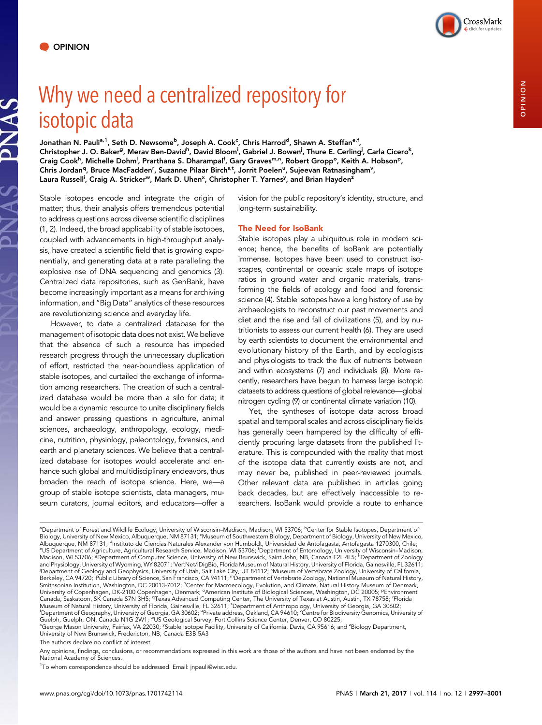PNAS

# Why we need a centralized repository for isotopic data

Jonathan N. Pauli<sup>a, 1</sup>, Seth D. Newsome<sup>b</sup>, Joseph A. Cook<sup>c</sup>, Chris Harrod<sup>d</sup>, Shawn A. Steffan<sup>e, f</sup>, Christopher J. O. Baker<sup>g</sup>, Merav Ben-David<sup>h</sup>, David Bloom<sup>i</sup>, Gabriel J. Bowen<sup>j</sup>, Thure E. Cerling<sup>j</sup>, Carla Cicero<sup>k</sup>, Craig Cook<sup>h</sup>, Michelle Dohm<sup>l</sup>, Prarthana S. Dharampal<sup>f</sup>, Gary Graves<sup>m,n</sup>, Robert Gropp°, Keith A. Hobson<sup>p</sup>, Chris Jordan<sup>q</sup>, Bruce MacFadden<sup>r</sup>, Suzanne Pilaar Birch<sup>s,t</sup>, Jorrit Poelen<sup>u</sup>, Sujeevan Ratnasingham<sup>v</sup>, Laura Russell<sup>i</sup>, Craig A. Stricker<sup>w</sup>, Mark D. Uhen<sup>x</sup>, Christopher T. Yarnes<sup>y</sup>, and Brian Hayden<sup>z</sup>

Stable isotopes encode and integrate the origin of matter; thus, their analysis offers tremendous potential to address questions across diverse scientific disciplines (1, 2). Indeed, the broad applicability of stable isotopes, coupled with advancements in high-throughput analysis, have created a scientific field that is growing exponentially, and generating data at a rate paralleling the explosive rise of DNA sequencing and genomics (3). Centralized data repositories, such as GenBank, have become increasingly important as a means for archiving information, and "Big Data" analytics of these resources are revolutionizing science and everyday life.

However, to date a centralized database for the management of isotopic data does not exist. We believe that the absence of such a resource has impeded research progress through the unnecessary duplication of effort, restricted the near-boundless application of stable isotopes, and curtailed the exchange of information among researchers. The creation of such a centralized database would be more than a silo for data; it would be a dynamic resource to unite disciplinary fields and answer pressing questions in agriculture, animal sciences, archaeology, anthropology, ecology, medicine, nutrition, physiology, paleontology, forensics, and earth and planetary sciences. We believe that a centralized database for isotopes would accelerate and enhance such global and multidisciplinary endeavors, thus broaden the reach of isotope science. Here, we—a group of stable isotope scientists, data managers, museum curators, journal editors, and educators—offer a vision for the public repository's identity, structure, and long-term sustainability.

# The Need for IsoBank

Stable isotopes play a ubiquitous role in modern science; hence, the benefits of IsoBank are potentially immense. Isotopes have been used to construct isoscapes, continental or oceanic scale maps of isotope ratios in ground water and organic materials, transforming the fields of ecology and food and forensic science (4). Stable isotopes have a long history of use by archaeologists to reconstruct our past movements and diet and the rise and fall of civilizations (5), and by nutritionists to assess our current health (6). They are used by earth scientists to document the environmental and evolutionary history of the Earth, and by ecologists and physiologists to track the flux of nutrients between and within ecosystems (7) and individuals (8). More recently, researchers have begun to harness large isotopic datasets to address questions of global relevance—global nitrogen cycling (9) or continental climate variation (10).

Yet, the syntheses of isotope data across broad spatial and temporal scales and across disciplinary fields has generally been hampered by the difficulty of efficiently procuring large datasets from the published literature. This is compounded with the reality that most of the isotope data that currently exists are not, and may never be, published in peer-reviewed journals. Other relevant data are published in articles going back decades, but are effectively inaccessible to researchers. IsoBank would provide a route to enhance

The authors declare no conflict of interest.

Any opinions, findings, conclusions, or recommendations expressed in this work are those of the authors and have not been endorsed by the National Academy of Sciences.

<sup>1</sup>To whom correspondence should be addressed. Email: [jnpauli@wisc.edu](mailto:jnpauli@wisc.edu).

<sup>&</sup>lt;sup>a</sup>Department of Forest and Wildlife Ecology, University of Wisconsin–Madison, Madison, WI 53706; <sup>b</sup>Center for Stable Isotopes, Department of Biology, University of New Mexico, Albuquerque, NM 87131; <sup>c</sup>Museum of Southwestern Biology, Department of Biology, University of New Mexico, Albuquerque, NM 87131; <sup>d</sup>instituto de Ciencias Naturales Alexander von Humboldt, Universidad de Antofagasta, Antofagasta 1270300, Chile;<br><sup>e</sup>l S. Dopatmont of Agriculture, Agricultural Becoarch Sonvice, Madison, ML53706; <sup></sup> US Department of Agriculture, Agricultural Research Service, Madison, WI 53706; <sup>f</sup> Department of Entomology, University of Wisconsin–Madison, Madison, WI 53706; <sup>g</sup>Department of Computer Science, University of New Brunswick, Saint John, NB, Canada E2L 4L5; <sup>h</sup>Department of Zoology and Physiology, University of Wyoming, WY 82071; <sup>'</sup>VertNet/iDigBio, Florida Museum of Natural History, University of Florida, Gainesville, FL 32611;<br>'Department of Geology and Geophysics, University of Utah, Salt Lake Cit Smithsonian Institution, Washington, DC 20013-7012; "Center for Macroecology, Evolution, and Climate, Natural History Museum of Denmark,<br>University of Copenhagen, DK-2100 Copenhagen, Denmark; °American Institute of Biologi Canada, Saskatoon, SK Canada S7N 3H5; <sup>q</sup>Texas Advanced Computing Center, The University of Texas at Austin, Austin, TX 78758; 'Florida Museum of Natural History, University of Florida, Gainesville, FL 32611; <sup>s</sup>Department of Anthropology, University of Georgia, GA 30602;<br><sup>I</sup>Dopartment of Geography, University of Georgia, GA 30602; "Private address, Oaklan "Department of Geography, University of Georgia, GA 30602; "Private address, Oakland, CA 94610; "Centre for Biodiversity Genomics, University of<br>Guelph, Guelph, ON, Canada N1G 2W1; "US Geological Survey, Fort Collins Scien <sup>x</sup>George Mason University, Fairfax, VA 22030; <sup>y</sup>Stable Isotope Facility, University of California, Davis, CA 95616; and <sup>z</sup>Biology Department,<br>University of New Brunswick, Fredericton, NB, Canada E3B 5A3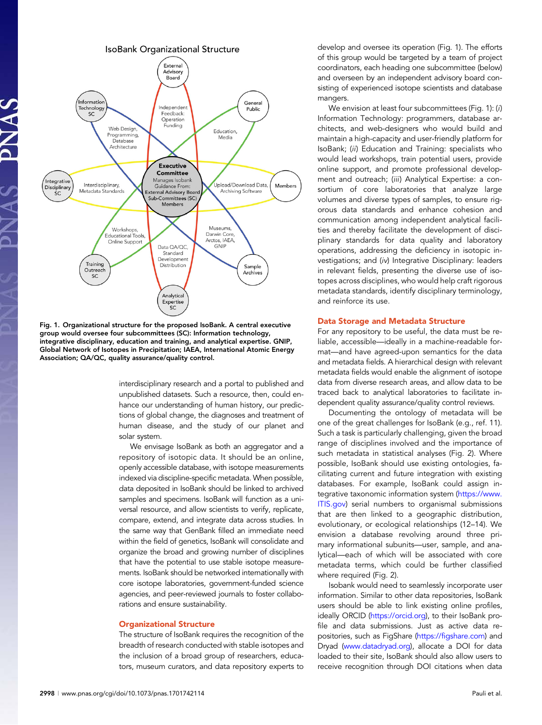

Fig. 1. Organizational structure for the proposed IsoBank. A central executive group would oversee four subcommittees (SC): Information technology, integrative disciplinary, education and training, and analytical expertise. GNIP, Global Network of Isotopes in Precipitation; IAEA, International Atomic Energy Association; QA/QC, quality assurance/quality control.

interdisciplinary research and a portal to published and unpublished datasets. Such a resource, then, could enhance our understanding of human history, our predictions of global change, the diagnoses and treatment of human disease, and the study of our planet and solar system.

We envisage IsoBank as both an aggregator and a repository of isotopic data. It should be an online, openly accessible database, with isotope measurements indexed via discipline-specific metadata. When possible, data deposited in IsoBank should be linked to archived samples and specimens. IsoBank will function as a universal resource, and allow scientists to verify, replicate, compare, extend, and integrate data across studies. In the same way that GenBank filled an immediate need within the field of genetics, IsoBank will consolidate and organize the broad and growing number of disciplines that have the potential to use stable isotope measurements. IsoBank should be networked internationally with core isotope laboratories, government-funded science agencies, and peer-reviewed journals to foster collaborations and ensure sustainability.

### Organizational Structure

The structure of IsoBank requires the recognition of the breadth of research conducted with stable isotopes and the inclusion of a broad group of researchers, educators, museum curators, and data repository experts to

develop and oversee its operation (Fig. 1). The efforts of this group would be targeted by a team of project coordinators, each heading one subcommittee (below) and overseen by an independent advisory board consisting of experienced isotope scientists and database mangers.

We envision at least four subcommittees (Fig. 1): (i) Information Technology: programmers, database architects, and web-designers who would build and maintain a high-capacity and user-friendly platform for IsoBank; (ii) Education and Training: specialists who would lead workshops, train potential users, provide online support, and promote professional development and outreach; (iii) Analytical Expertise: a consortium of core laboratories that analyze large volumes and diverse types of samples, to ensure rigorous data standards and enhance cohesion and communication among independent analytical facilities and thereby facilitate the development of disciplinary standards for data quality and laboratory operations, addressing the deficiency in isotopic investigations; and (iv) Integrative Disciplinary: leaders in relevant fields, presenting the diverse use of isotopes across disciplines, who would help craft rigorous metadata standards, identify disciplinary terminology, and reinforce its use.

# Data Storage and Metadata Structure

For any repository to be useful, the data must be reliable, accessible—ideally in a machine-readable format—and have agreed-upon semantics for the data and metadata fields. A hierarchical design with relevant metadata fields would enable the alignment of isotope data from diverse research areas, and allow data to be traced back to analytical laboratories to facilitate independent quality assurance/quality control reviews.

Documenting the ontology of metadata will be one of the great challenges for IsoBank (e.g., ref. 11). Such a task is particularly challenging, given the broad range of disciplines involved and the importance of such metadata in statistical analyses (Fig. 2). Where possible, IsoBank should use existing ontologies, facilitating current and future integration with existing databases. For example, IsoBank could assign in-tegrative taxonomic information system [\(https://www.](https://www.ITIS.gov) [ITIS.gov](https://www.ITIS.gov)) serial numbers to organismal submissions that are then linked to a geographic distribution, evolutionary, or ecological relationships (12–14). We envision a database revolving around three primary informational subunits—user, sample, and analytical—each of which will be associated with core metadata terms, which could be further classified where required (Fig. 2).

Isobank would need to seamlessly incorporate user information. Similar to other data repositories, IsoBank users should be able to link existing online profiles, ideally ORCID ([https://orcid.org](http://www.orcid.org/)), to their IsoBank profile and data submissions. Just as active data repositories, such as FigShare [\(https://figshare.com](http://figshare.com)) and Dryad [\(www.datadryad.org\)](http://www.datadryad.org/), allocate a DOI for data loaded to their site, IsoBank should also allow users to receive recognition through DOI citations when data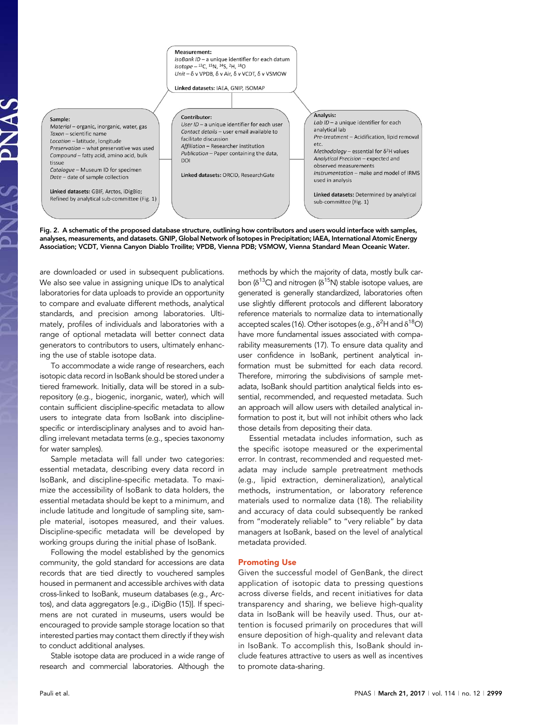#### Measurement:

IsoBank ID - a unique identifier for each datum  $Isotope - <sup>13</sup>C, <sup>15</sup>N, <sup>34</sup>S, <sup>2</sup>H, <sup>18</sup>O$ Unit -  $\delta$  v VPDB,  $\delta$  v Air,  $\delta$  v VCDT,  $\delta$  v VSMOW

Linked datasets: IAEA, GNIP, ISOMAP

#### Sample:

Material - organic, inorganic, water, gas Taxon - scientific name Location - latitude, longitude Preservation - what preservative was used Compound - fatty acid, amino acid, bulk tissue Catalogue - Museum ID for specimen

Date - date of sample collection

Linked datasets: GBIF, Arctos, iDigBio; Refined by analytical sub-committee (Fig. 1) Contributor: User ID - a unique identifier for each user Contact details - user email available to facilitate discussion Affiliation - Researcher institution Publication - Paper containing the data. **DOI** 

Linked datasets: ORCID, ResearchGate

| Analysis:                                                           |
|---------------------------------------------------------------------|
| Lab $ID - a$ unique identifier for each                             |
| analytical lab                                                      |
| Pre-treatment - Acidification, lipid removal<br>etc.                |
| Methodology – essential for $\delta^2$ H values                     |
| Analytical Precision - expected and                                 |
| observed measurements                                               |
| Instrumentation - make and model of IRMS<br>used in analysis        |
| Linked datasets: Determined by analytical<br>sub-committee (Fig. 1) |

Fig. 2. A schematic of the proposed database structure, outlining how contributors and users would interface with samples, analyses, measurements, and datasets. GNIP, Global Network of Isotopes in Precipitation; IAEA, International Atomic Energy Association; VCDT, Vienna Canyon Diablo Troilite; VPDB, Vienna PDB; VSMOW, Vienna Standard Mean Oceanic Water.

are downloaded or used in subsequent publications. We also see value in assigning unique IDs to analytical laboratories for data uploads to provide an opportunity to compare and evaluate different methods, analytical standards, and precision among laboratories. Ultimately, profiles of individuals and laboratories with a range of optional metadata will better connect data generators to contributors to users, ultimately enhancing the use of stable isotope data.

To accommodate a wide range of researchers, each isotopic data record in IsoBank should be stored under a tiered framework. Initially, data will be stored in a subrepository (e.g., biogenic, inorganic, water), which will contain sufficient discipline-specific metadata to allow users to integrate data from IsoBank into disciplinespecific or interdisciplinary analyses and to avoid handling irrelevant metadata terms (e.g., species taxonomy for water samples).

Sample metadata will fall under two categories: essential metadata, describing every data record in IsoBank, and discipline-specific metadata. To maximize the accessibility of IsoBank to data holders, the essential metadata should be kept to a minimum, and include latitude and longitude of sampling site, sample material, isotopes measured, and their values. Discipline-specific metadata will be developed by working groups during the initial phase of IsoBank.

Following the model established by the genomics community, the gold standard for accessions are data records that are tied directly to vouchered samples housed in permanent and accessible archives with data cross-linked to IsoBank, museum databases (e.g., Arctos), and data aggregators [e.g., iDigBio (15)]. If specimens are not curated in museums, users would be encouraged to provide sample storage location so that interested parties may contact them directly if they wish to conduct additional analyses.

Stable isotope data are produced in a wide range of research and commercial laboratories. Although the

methods by which the majority of data, mostly bulk carbon ( $\delta^{13}$ C) and nitrogen ( $\delta^{15}$ N) stable isotope values, are generated is generally standardized, laboratories often use slightly different protocols and different laboratory reference materials to normalize data to internationally accepted scales (16). Other isotopes (e.g.,  $\delta^2$ H and  $\delta^{18}$ O) have more fundamental issues associated with comparability measurements (17). To ensure data quality and user confidence in IsoBank, pertinent analytical information must be submitted for each data record. Therefore, mirroring the subdivisions of sample metadata, IsoBank should partition analytical fields into essential, recommended, and requested metadata. Such an approach will allow users with detailed analytical information to post it, but will not inhibit others who lack those details from depositing their data.

Essential metadata includes information, such as the specific isotope measured or the experimental error. In contrast, recommended and requested metadata may include sample pretreatment methods (e.g., lipid extraction, demineralization), analytical methods, instrumentation, or laboratory reference materials used to normalize data (18). The reliability and accuracy of data could subsequently be ranked from "moderately reliable" to "very reliable" by data managers at IsoBank, based on the level of analytical metadata provided.

## Promoting Use

Given the successful model of GenBank, the direct application of isotopic data to pressing questions across diverse fields, and recent initiatives for data transparency and sharing, we believe high-quality data in IsoBank will be heavily used. Thus, our attention is focused primarily on procedures that will ensure deposition of high-quality and relevant data in IsoBank. To accomplish this, IsoBank should include features attractive to users as well as incentives to promote data-sharing.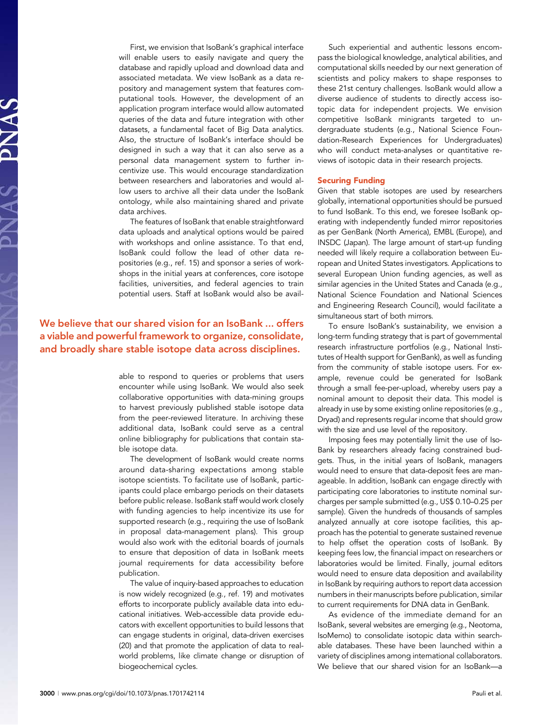First, we envision that IsoBank's graphical interface will enable users to easily navigate and query the database and rapidly upload and download data and associated metadata. We view IsoBank as a data repository and management system that features computational tools. However, the development of an application program interface would allow automated queries of the data and future integration with other datasets, a fundamental facet of Big Data analytics. Also, the structure of IsoBank's interface should be designed in such a way that it can also serve as a personal data management system to further incentivize use. This would encourage standardization between researchers and laboratories and would allow users to archive all their data under the IsoBank ontology, while also maintaining shared and private data archives.

The features of IsoBank that enable straightforward data uploads and analytical options would be paired with workshops and online assistance. To that end, IsoBank could follow the lead of other data repositories (e.g., ref. 15) and sponsor a series of workshops in the initial years at conferences, core isotope facilities, universities, and federal agencies to train potential users. Staff at IsoBank would also be avail-

# We believe that our shared vision for an IsoBank ... offers a viable and powerful framework to organize, consolidate, and broadly share stable isotope data across disciplines.

able to respond to queries or problems that users encounter while using IsoBank. We would also seek collaborative opportunities with data-mining groups to harvest previously published stable isotope data from the peer-reviewed literature. In archiving these additional data, IsoBank could serve as a central online bibliography for publications that contain stable isotope data.

The development of IsoBank would create norms around data-sharing expectations among stable isotope scientists. To facilitate use of IsoBank, participants could place embargo periods on their datasets before public release. IsoBank staff would work closely with funding agencies to help incentivize its use for supported research (e.g., requiring the use of IsoBank in proposal data-management plans). This group would also work with the editorial boards of journals to ensure that deposition of data in IsoBank meets journal requirements for data accessibility before publication.

The value of inquiry-based approaches to education is now widely recognized (e.g., ref. 19) and motivates efforts to incorporate publicly available data into educational initiatives. Web-accessible data provide educators with excellent opportunities to build lessons that can engage students in original, data-driven exercises (20) and that promote the application of data to realworld problems, like climate change or disruption of biogeochemical cycles.

Such experiential and authentic lessons encompass the biological knowledge, analytical abilities, and computational skills needed by our next generation of scientists and policy makers to shape responses to these 21st century challenges. IsoBank would allow a diverse audience of students to directly access isotopic data for independent projects. We envision competitive IsoBank minigrants targeted to undergraduate students (e.g., National Science Foundation-Research Experiences for Undergraduates) who will conduct meta-analyses or quantitative reviews of isotopic data in their research projects.

# Securing Funding

Given that stable isotopes are used by researchers globally, international opportunities should be pursued to fund IsoBank. To this end, we foresee IsoBank operating with independently funded mirror repositories as per GenBank (North America), EMBL (Europe), and INSDC (Japan). The large amount of start-up funding needed will likely require a collaboration between European and United States investigators. Applications to several European Union funding agencies, as well as similar agencies in the United States and Canada (e.g., National Science Foundation and National Sciences and Engineering Research Council), would facilitate a simultaneous start of both mirrors.

To ensure IsoBank's sustainability, we envision a long-term funding strategy that is part of governmental research infrastructure portfolios (e.g., National Institutes of Health support for GenBank), as well as funding from the community of stable isotope users. For example, revenue could be generated for IsoBank through a small fee-per-upload, whereby users pay a nominal amount to deposit their data. This model is already in use by some existing online repositories (e.g., Dryad) and represents regular income that should grow with the size and use level of the repository.

Imposing fees may potentially limit the use of Iso-Bank by researchers already facing constrained budgets. Thus, in the initial years of IsoBank, managers would need to ensure that data-deposit fees are manageable. In addition, IsoBank can engage directly with participating core laboratories to institute nominal surcharges per sample submitted (e.g., US\$ 0.10–0.25 per sample). Given the hundreds of thousands of samples analyzed annually at core isotope facilities, this approach has the potential to generate sustained revenue to help offset the operation costs of IsoBank. By keeping fees low, the financial impact on researchers or laboratories would be limited. Finally, journal editors would need to ensure data deposition and availability in IsoBank by requiring authors to report data accession numbers in their manuscripts before publication, similar to current requirements for DNA data in GenBank.

As evidence of the immediate demand for an IsoBank, several websites are emerging (e.g., Neotoma, IsoMemo) to consolidate isotopic data within searchable databases. These have been launched within a variety of disciplines among international collaborators. We believe that our shared vision for an IsoBank—a